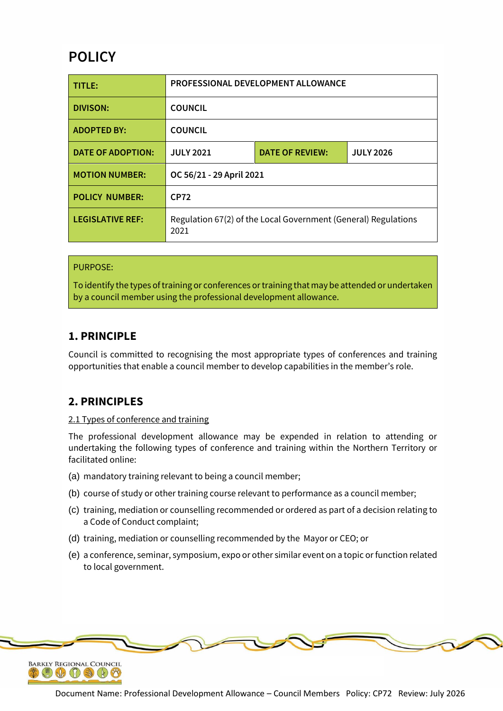# **POLICY**

| TITLE:                  | PROFESSIONAL DEVELOPMENT ALLOWANCE                                     |                        |                  |
|-------------------------|------------------------------------------------------------------------|------------------------|------------------|
| DIVISON:                | <b>COUNCIL</b>                                                         |                        |                  |
| <b>ADOPTED BY:</b>      | <b>COUNCIL</b>                                                         |                        |                  |
| DATE OF ADOPTION:       | <b>JULY 2021</b>                                                       | <b>DATE OF REVIEW:</b> | <b>JULY 2026</b> |
| <b>MOTION NUMBER:</b>   | OC 56/21 - 29 April 2021                                               |                        |                  |
| <b>POLICY NUMBER:</b>   | <b>CP72</b>                                                            |                        |                  |
| <b>LEGISLATIVE REF:</b> | Regulation 67(2) of the Local Government (General) Regulations<br>2021 |                        |                  |

### PURPOSE:

To identify the types of training or conferences or training that may be attended or undertaken by a council member using the professional development allowance.

# **1. PRINCIPLE**

Council is committed to recognising the most appropriate types of conferences and training opportunities that enable a council member to develop capabilities in the member's role.

# **2. PRINCIPLES**

### 2.1 Types of conference and training

The professional development allowance may be expended in relation to attending or undertaking the following types of conference and training within the Northern Territory or facilitated online:

- (a) mandatory training relevant to being a council member;
- (b) course of study or other training course relevant to performance as a council member;
- (c) training, mediation or counselling recommended or ordered as part of a decision relating to a Code of Conduct complaint;
- (d) training, mediation or counselling recommended by the Mayor or CEO; or
- (e) a conference, seminar, symposium, expo or other similar event on a topic or function related to local government.